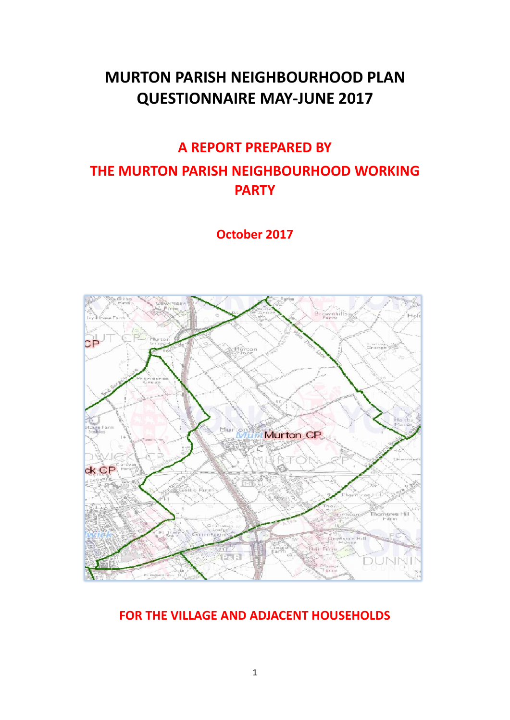# **MURTON PARISH NEIGHBOURHOOD PLAN QUESTIONNAIRE MAY-JUNE 2017**

## **A REPORT PREPARED BY**

# **THE MURTON PARISH NEIGHBOURHOOD WORKING PARTY**

**October 2017**



## **FOR THE VILLAGE AND ADJACENT HOUSEHOLDS**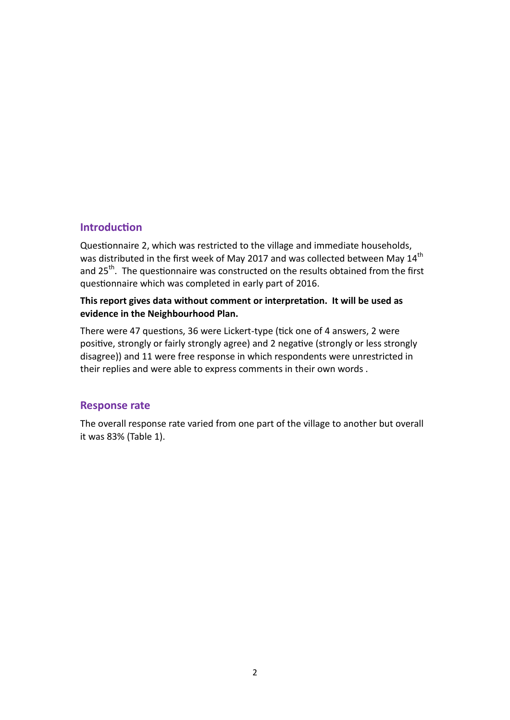#### **Introduction**

Questionnaire 2, which was restricted to the village and immediate households, was distributed in the first week of May 2017 and was collected between May 14<sup>th</sup> and 25<sup>th</sup>. The questionnaire was constructed on the results obtained from the first questionnaire which was completed in early part of 2016.

#### **This report gives data without comment or interpretation. It will be used as evidence in the Neighbourhood Plan.**

There were 47 questions, 36 were Lickert-type (tick one of 4 answers, 2 were positive, strongly or fairly strongly agree) and 2 negative (strongly or less strongly disagree)) and 11 were free response in which respondents were unrestricted in their replies and were able to express comments in their own words .

#### **Response rate**

The overall response rate varied from one part of the village to another but overall it was 83% (Table 1).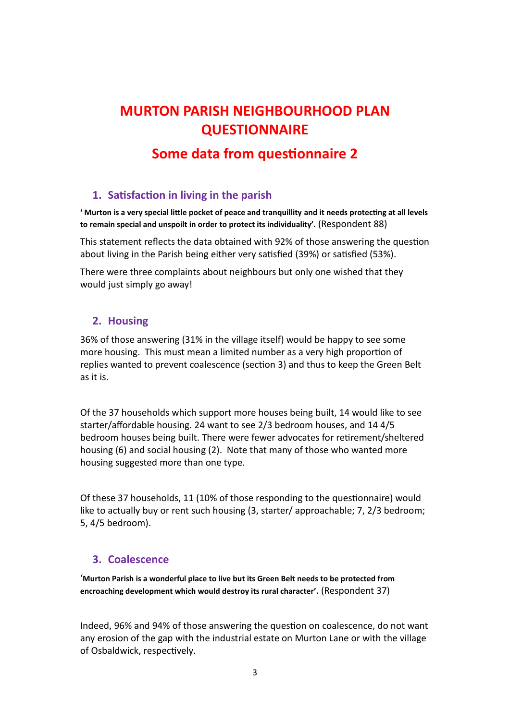# **MURTON PARISH NEIGHBOURHOOD PLAN QUESTIONNAIRE**

## **Some data from questionnaire 2**

## **1. Satisfaction in living in the parish**

**' Murton is a very special little pocket of peace and tranquillity and it needs protecting at all levels to remain special and unspoilt in order to protect its individuality'.** (Respondent 88)

This statement reflects the data obtained with 92% of those answering the question about living in the Parish being either very satisfied (39%) or satisfied (53%).

There were three complaints about neighbours but only one wished that they would just simply go away!

### **2. Housing**

36% of those answering (31% in the village itself) would be happy to see some more housing. This must mean a limited number as a very high proportion of replies wanted to prevent coalescence (section 3) and thus to keep the Green Belt as it is.

Of the 37 households which support more houses being built, 14 would like to see starter/affordable housing. 24 want to see 2/3 bedroom houses, and 14 4/5 bedroom houses being built. There were fewer advocates for retirement/sheltered housing (6) and social housing (2). Note that many of those who wanted more housing suggested more than one type.

Of these 37 households, 11 (10% of those responding to the questionnaire) would like to actually buy or rent such housing (3, starter/ approachable; 7, 2/3 bedroom; 5, 4/5 bedroom).

### **3. Coalescence**

'**Murton Parish is a wonderful place to live but its Green Belt needs to be protected from encroaching development which would destroy its rural character'.** (Respondent 37)

Indeed, 96% and 94% of those answering the question on coalescence, do not want any erosion of the gap with the industrial estate on Murton Lane or with the village of Osbaldwick, respectively.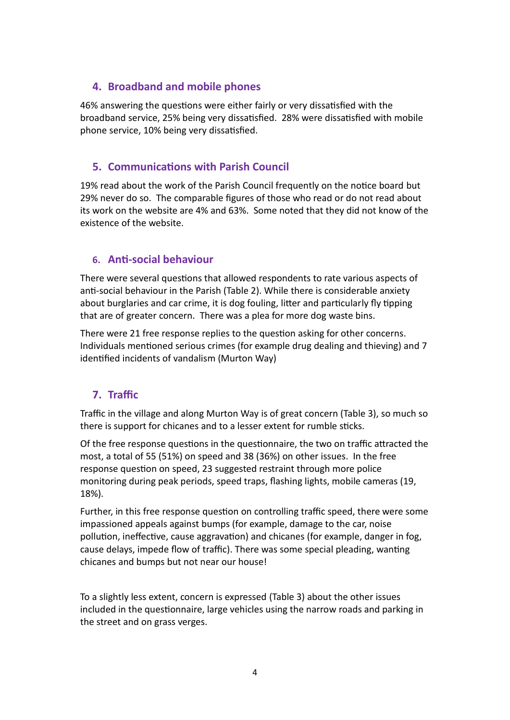### **4. Broadband and mobile phones**

46% answering the questions were either fairly or very dissatisfied with the broadband service, 25% being very dissatisfied. 28% were dissatisfied with mobile phone service, 10% being very dissatisfied.

## **5. Communications with Parish Council**

19% read about the work of the Parish Council frequently on the notice board but 29% never do so. The comparable figures of those who read or do not read about its work on the website are 4% and 63%. Some noted that they did not know of the existence of the website.

### **6. Anti-social behaviour**

There were several questions that allowed respondents to rate various aspects of anti-social behaviour in the Parish (Table 2). While there is considerable anxiety about burglaries and car crime, it is dog fouling, litter and particularly fly tipping that are of greater concern. There was a plea for more dog waste bins.

There were 21 free response replies to the question asking for other concerns. Individuals mentioned serious crimes (for example drug dealing and thieving) and 7 identified incidents of vandalism (Murton Way)

## **7. Traffic**

Traffic in the village and along Murton Way is of great concern (Table 3), so much so there is support for chicanes and to a lesser extent for rumble sticks.

Of the free response questions in the questionnaire, the two on traffic attracted the most, a total of 55 (51%) on speed and 38 (36%) on other issues. In the free response question on speed, 23 suggested restraint through more police monitoring during peak periods, speed traps, flashing lights, mobile cameras (19, 18%).

Further, in this free response question on controlling traffic speed, there were some impassioned appeals against bumps (for example, damage to the car, noise pollution, ineffective, cause aggravation) and chicanes (for example, danger in fog, cause delays, impede flow of traffic). There was some special pleading, wanting chicanes and bumps but not near our house!

To a slightly less extent, concern is expressed (Table 3) about the other issues included in the questionnaire, large vehicles using the narrow roads and parking in the street and on grass verges.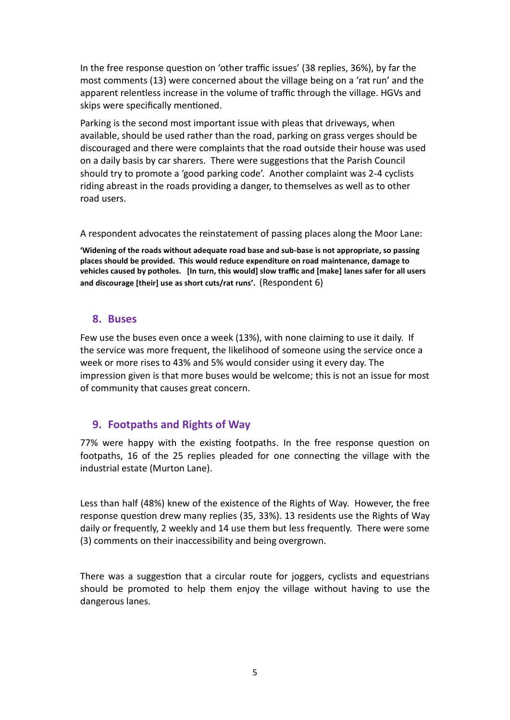In the free response question on 'other traffic issues' (38 replies, 36%), by far the most comments (13) were concerned about the village being on a 'rat run' and the apparent relentless increase in the volume of traffic through the village. HGVs and skips were specifically mentioned.

Parking is the second most important issue with pleas that driveways, when available, should be used rather than the road, parking on grass verges should be discouraged and there were complaints that the road outside their house was used on a daily basis by car sharers. There were suggestions that the Parish Council should try to promote a 'good parking code'. Another complaint was 2-4 cyclists riding abreast in the roads providing a danger, to themselves as well as to other road users.

A respondent advocates the reinstatement of passing places along the Moor Lane:

**'Widening of the roads without adequate road base and sub-base is not appropriate, so passing places should be provided. This would reduce expenditure on road maintenance, damage to vehicles caused by potholes. [In turn, this would] slow traffic and [make] lanes safer for all users and discourage [their] use as short cuts/rat runs'.** (Respondent 6)

#### **8. Buses**

Few use the buses even once a week (13%), with none claiming to use it daily. If the service was more frequent, the likelihood of someone using the service once a week or more rises to 43% and 5% would consider using it every day. The impression given is that more buses would be welcome; this is not an issue for most of community that causes great concern.

### **9. Footpaths and Rights of Way**

77% were happy with the existing footpaths. In the free response question on footpaths, 16 of the 25 replies pleaded for one connecting the village with the industrial estate (Murton Lane).

Less than half (48%) knew of the existence of the Rights of Way. However, the free response question drew many replies (35, 33%). 13 residents use the Rights of Way daily or frequently, 2 weekly and 14 use them but less frequently. There were some (3) comments on their inaccessibility and being overgrown.

There was a suggestion that a circular route for joggers, cyclists and equestrians should be promoted to help them enjoy the village without having to use the dangerous lanes.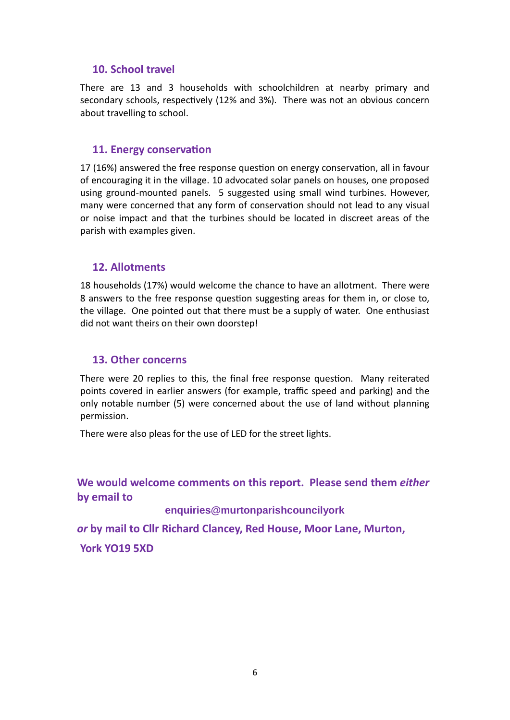#### **10. School travel**

There are 13 and 3 households with schoolchildren at nearby primary and secondary schools, respectively (12% and 3%). There was not an obvious concern about travelling to school.

#### **11. Energy conservation**

17 (16%) answered the free response question on energy conservation, all in favour of encouraging it in the village. 10 advocated solar panels on houses, one proposed using ground-mounted panels. 5 suggested using small wind turbines. However, many were concerned that any form of conservation should not lead to any visual or noise impact and that the turbines should be located in discreet areas of the parish with examples given.

#### **12. Allotments**

18 households (17%) would welcome the chance to have an allotment. There were 8 answers to the free response question suggesting areas for them in, or close to, the village. One pointed out that there must be a supply of water. One enthusiast did not want theirs on their own doorstep!

#### **13. Other concerns**

There were 20 replies to this, the final free response question. Many reiterated points covered in earlier answers (for example, traffic speed and parking) and the only notable number (5) were concerned about the use of land without planning permission.

There were also pleas for the use of LED for the street lights.

### **We would welcome comments on this report. Please send them** *either* **by email to**

#### **enquiries@murtonparishcouncilyork**

*or* **by mail to Cllr Richard Clancey, Red House, Moor Lane, Murton,**

**York YO19 5XD**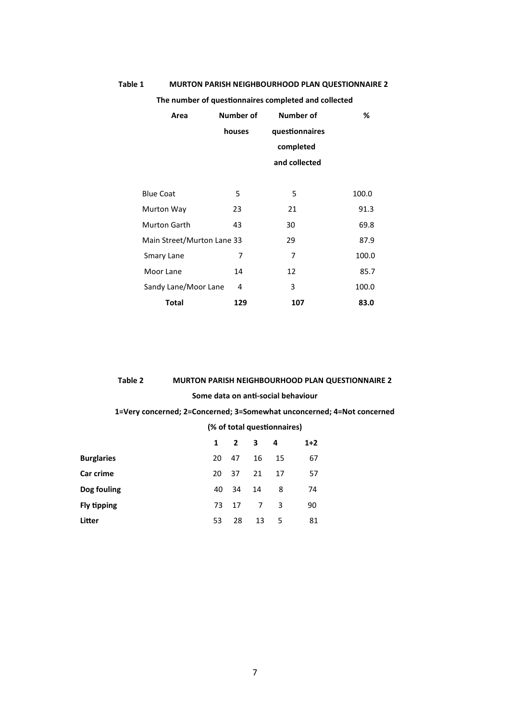| The number of questionnaires completed and collected |                  |                  |       |  |  |
|------------------------------------------------------|------------------|------------------|-------|--|--|
| Area                                                 | <b>Number of</b> | <b>Number of</b> | %     |  |  |
|                                                      | houses           | questionnaires   |       |  |  |
|                                                      |                  | completed        |       |  |  |
|                                                      |                  | and collected    |       |  |  |
|                                                      |                  |                  |       |  |  |
| <b>Blue Coat</b>                                     | 5                | 5                | 100.0 |  |  |
| Murton Way                                           | 23               | 21               | 91.3  |  |  |
| <b>Murton Garth</b>                                  | 43               | 30               | 69.8  |  |  |
| Main Street/Murton Lane 33                           |                  | 29               | 87.9  |  |  |
| Smary Lane                                           | 7                | 7                | 100.0 |  |  |
| Moor Lane                                            | 14               | 12               | 85.7  |  |  |
| Sandy Lane/Moor Lane                                 | 4                | 3                | 100.0 |  |  |
| <b>Total</b>                                         | 129              | 107              | 83.0  |  |  |

#### **Table 1 MURTON PARISH NEIGHBOURHOOD PLAN QUESTIONNAIRE 2**

#### **Table 2 MURTON PARISH NEIGHBOURHOOD PLAN QUESTIONNAIRE 2**

#### **Some data on anti-social behaviour**

#### **1=Very concerned; 2=Concerned; 3=Somewhat unconcerned; 4=Not concerned**

#### **(% of total questionnaires)**

|                    | $\mathbf{1}$ |     | $2 \quad 3$    | -4 | $1+2$ |
|--------------------|--------------|-----|----------------|----|-------|
| <b>Burglaries</b>  | 20           | -47 | 16             | 15 | 67    |
| Car crime          | 20           | 37  | 21             | 17 | 57    |
| Dog fouling        | 40           | 34  | 14             | 8  | 74    |
| <b>Fly tipping</b> | 73           | 17  | 7 <sup>7</sup> | 3  | 90    |
| Litter             | 53           | 28  | 13             | -5 | 81    |